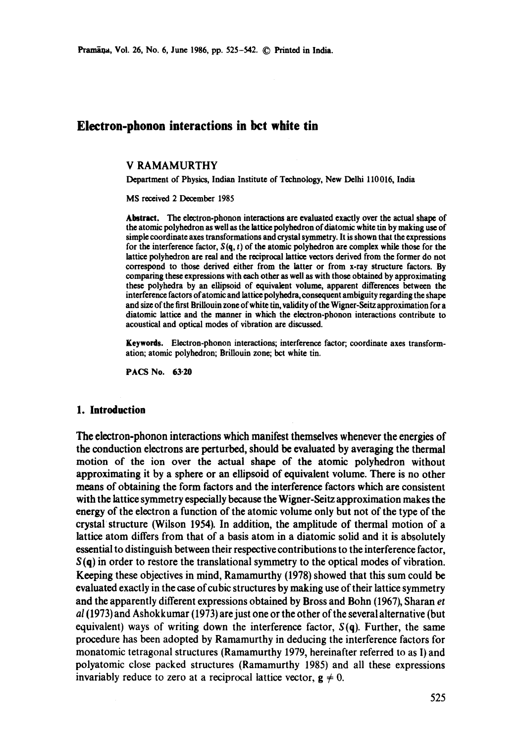# **Electron-phonon interactions in bct white tin**

#### V RAMAMURTHY

Department of Physics, Indian Institute of Technology, New Delhi 110016, India

MS received 2 December 1985

**Abstract.** The electron-phonon interactions are evaluated exactly over the actual shape of the atomic polyhedron as well as the lattice polyhedron of diatomic white tin by making use of simple coordinate axes transformations and crystal symmetry. It is shown that the expressions for the interference factor,  $S(q, t)$  of the atomic polyhedron are complex while those for the lattice polyhedron are real and the reciprocal lattice vectors derived from the former do not correspond to those derived either from the latter or from x-ray structure factors. By comparing these expressions with each other as well as with those obtained by approximating these polyhedra by an ellipsoid of equivalent volume, apparent differences between the interference factors of atomic and lattice polyhedra, consequent ambiguity regarding the shape and size of the first Brillouin zone of white tin, vafidity of the Wigner-Seitz approximation for a diatomic lattice and the manner in which the electron-phonon interactions contribute to acoustical and optical modes of vibration are discussed.

**Keywords.** Electron-phonon interactions; interference factor; coordinate axes transformation; atomic polyhedron; Brillouin zone; bet white tin.

PACS No. 63-20

#### **1. Introduction**

The electron-phonon interactions which manifest themselves whenever the energies of the conduction electrons are perturbed, should be evaluated by averaging the thermal motion of the ion over the actual shape of the atomic polyhedron without approximating it by a sphere or an ellipsoid of equivalent volume. There is no other means of obtaining the form factors and the interference factors which are consistent with the lattice symmetry especially because the Wigner-Seitz approximation makes the energy of the electron a function of the atomic volume only but not of the type of the crystal structure (Wilson 1954). In addition, the amplitude of thermal motion of a lattice atom differs from that of a basis atom in a diatomic solid and it is absolutely essential to distinguish between their respective contributions to the interference factor,  $S(q)$  in order to restore the translational symmetry to the optical modes of vibration. Keeping these objectives in mind, Ramamurthy (1978) showed that this sum could be evaluated exactly in the case of cubic structures by making use of their lattice symmetry and the apparently different expressions obtained by Bross and Bohn (1967), Sharan *et al* (1973) and Ashokkumar (1973) are just one or the other of the several alternative (but equivalent) ways of writing down the interference factor, *S(q).* Further, the same procedure has been adopted by Ramamurthy in deducing the interference factors for monatomic tetragonal structures (Ramamurthy 1979, hereinafter referred to as I) and polyatomic close packed structures (Ramamurthy 1985) and all these expressions invariably reduce to zero at a reciprocal lattice vector,  $g \neq 0$ .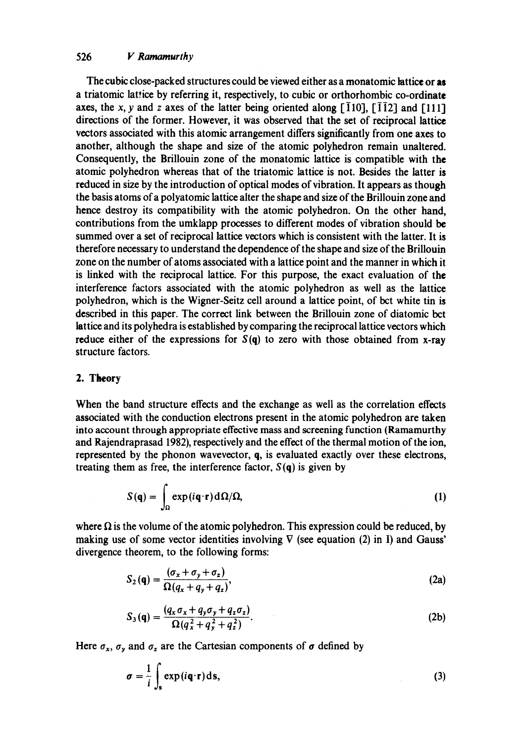The cubic close-packed structures could be viewed either as a monatomic lattice or as a triatomic lattice by referring it, respectively, to cubic or orthorhombic co-ordinate axes, the x, y and z axes of the latter being oriented along  $\lceil \overline{1}10 \rceil$ ,  $\lceil \overline{1}12 \rceil$  and  $\lceil 111 \rceil$ directions of the former. However, it was observed that the set of reciprocal lattice vectors associated with this atomic arrangement differs significantly from one axes to another, although the shape and size of the atomic polyhedron remain unaltered. Consequently, the Briliouin zone of the monatomic lattice is compatible with the atomic polyhedron whereas that of the triatomic lattice is not. Besides the latter is reduced in size by the introduction of optical modes of vibration. It appears as though the basis atoms of a polyatomic lattice alter the shape and size of the Brillouin zone and hence destroy its compatibility with the atomic polyhedron. On the other hand, contributions from the umklapp processes to different modes of vibration should be summed over a set of reciprocal lattice vectors which is consistent with the latter. It is therefore necessary to understand the dependence of the shape and size of the Brillouin zone on the number of atoms associated with a lattice point and the manner in which it is linked with the reciprocal lattice. For this purpose, the exact evaluation of the interference factors associated with the atomic polyhedron as well as the lattice polyhedron, which is the Wigner-Seitz cell around a lattice point, of bet white tin is described in this paper. The correct link between the Brillouin zone of diatomic bet lattice and its polyhedra is established by comparing the reciprocal lattice vectors which reduce either of the expressions for  $S(q)$  to zero with those obtained from x-ray structure factors.

#### 2. **Theory**

When the band structure effects and the exchange as well as the correlation effects associated with the conduction electrons present in the atomic polyhedron are taken into account through appropriate effective mass and screening function (Ramamurthy and Rajendraprasad 1982), respectively and the effect of the thermal motion of the ion, represented by the phonon wavevector, q, is evaluated exactly over these electrons, treating them as free, the interference factor,  $S(q)$  is given by

$$
S(\mathbf{q}) = \int_{\Omega} \exp(i\mathbf{q}\cdot\mathbf{r}) d\Omega/\Omega, \tag{1}
$$

where  $\Omega$  is the volume of the atomic polyhedron. This expression could be reduced, by making use of some vector identities involving  $\nabla$  (see equation (2) in I) and Gauss' divergence theorem, to the following forms:

$$
S_2(q) = \frac{(\sigma_x + \sigma_y + \sigma_z)}{\Omega(q_x + q_y + q_z)},
$$
\n(2a)

$$
S_3(q) = \frac{(q_x \sigma_x + q_y \sigma_y + q_z \sigma_z)}{\Omega(q_x^2 + q_y^2 + q_z^2)}.
$$
 (2b)

Here  $\sigma_x$ ,  $\sigma_y$  and  $\sigma_z$  are the Cartesian components of  $\sigma$  defined by

$$
\sigma = \frac{1}{i} \int_{s} \exp(i\mathbf{q} \cdot \mathbf{r}) \, \mathrm{d}\mathbf{s},\tag{3}
$$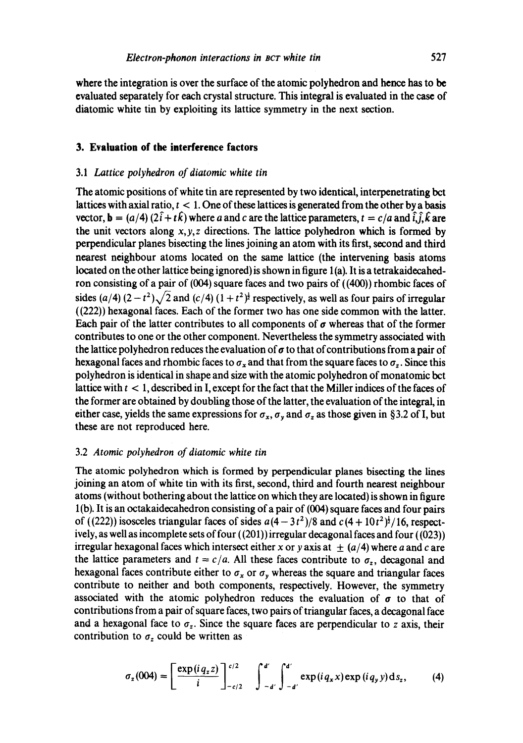**where** the integration is over the surface of the atomic polyhedron and hence has to be evaluated separately for each crystal structure. This integral is evaluated in the case of diatomic white tin by exploiting its lattice symmetry in the next section.

### **3. Evaluation of the interference factors**

## 3.1 *Lattice polyhedron of diatomic white tin*

The atomic positions of white tin are represented by two identical, interpenetrating bct lattices with axial ratio,  $t < 1$ . One of these lattices is generated from the other by a basis vector,  $\mathbf{b} = (a/4) (2\hat{i} + t\hat{k})$  where a and c are the lattice parameters,  $t = c/a$  and  $\hat{i}, \hat{j}, \hat{k}$  are the unit vectors along  $x, y, z$  directions. The lattice polyhedron which is formed by perpendicular planes bisecting the lines joining an atom with its first, second and third nearest neighbour atoms located on the same lattice (the intervening basis atoms located on the other lattice being ignored) is shown in figure 1(a). It is a tetrakaidecahedron consisting of a pair of (004) square faces and two pairs of ((400)) rhombic faces of sides (a/4)  $(2-t^2)\sqrt{2}$  and (c/4)  $(1+t^2)^{\frac{1}{2}}$  respectively, as well as four pairs of irregular ((222)) hexagonal faces. Each of the former two has one side common with the latter. Each pair of the latter contributes to all components of  $\sigma$  whereas that of the former contributes to one or the other component. Nevertheless the symmetry associated with the lattice polyhedron reduces the evaluation of  $\sigma$  to that of contributions from a pair of hexagonal faces and rhombic faces to  $\sigma_x$  and that from the square faces to  $\sigma_z$ . Since this polyhedron is identical in shape and size with the atomic polyhedron of monatomic bct lattice with  $t < 1$ , described in I, except for the fact that the Miller indices of the faces of the former are obtained by doubling those of the latter, the evaluation of the integral, in either case, yields the same expressions for  $\sigma_x$ ,  $\sigma_y$  and  $\sigma_z$  as those given in §3.2 of I, but these are not reproduced here.

## 3.2 *Atomic polyhedron of diatomic white tin*

The atomic polyhedron which is formed by perpendicular planes bisecting the lines joining an atom of white tin with its first, second, third and fourth nearest neighbour atoms (without bothering about the lattice on which they are located) is shown in figure l(b). It is an octakaidecahedron consisting of a pair of (004) square faces and four pairs of ((222)) isosceles triangular faces of sides  $a(4-3t^2)/8$  and  $c(4+10t^2)^{\frac{1}{2}}/16$ , respectively, as well as incomplete sets of four ((201)) irregular decagonal faces and four ((023)) irregular hexagonal faces which intersect either x or y axis at  $\pm$  (a/4) where a and c are the lattice parameters and  $t = c/a$ . All these faces contribute to  $\sigma_z$ , decagonal and hexagonal faces contribute either to  $\sigma_x$  or  $\sigma_y$  whereas the square and triangular faces contribute to neither and both components, respectively. However, the symmetry associated with the atomic polyhedron reduces the evaluation of  $\sigma$  to that of contributions from a pair of square faces, two pairs of triangular faces, a decagonal face and a hexagonal face to  $\sigma_z$ . Since the square faces are perpendicular to z axis, their contribution to  $\sigma_z$  could be written as

$$
\sigma_z(004) = \left[\frac{\exp(i q_z z)}{i}\right]_{-c/2}^{c/2} \int_{-d'}^{d'} \int_{-d'}^{d'} \exp(i q_x x) \exp(i q_y y) \, \mathrm{d} s_z, \tag{4}
$$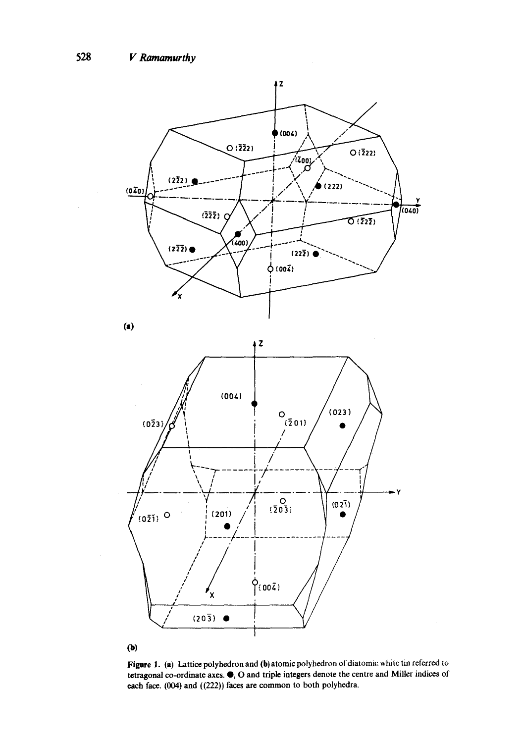

Figure 1. (a) Lattice polyhedron and (b) atomic polyhedron of diatomic white tin referred to tetragonal co-ordinate axes. O, O and triple integers denote the centre and Miller indices of each face. (004) and ((222)) faces are common to both polyhedra.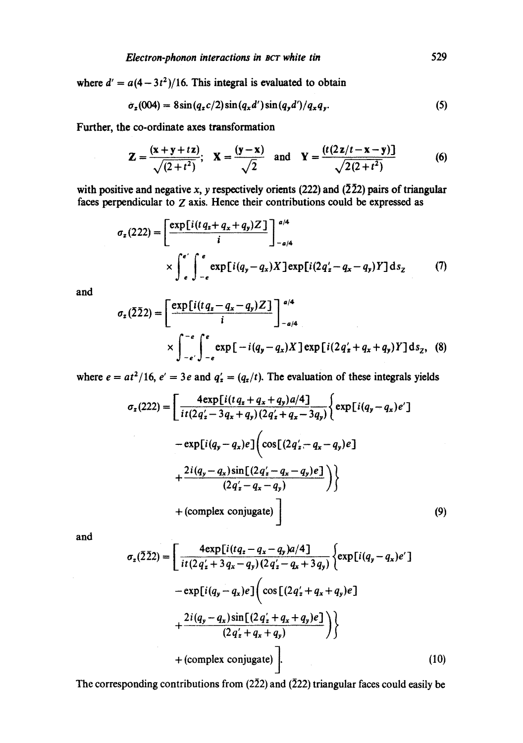where  $d' = a(4-3t^2)/16$ . This integral is evaluated to obtain

$$
\sigma_z(004) = 8\sin(q_z c/2)\sin(q_x d')\sin(q_y d')/q_x q_y. \tag{5}
$$

Further, the co-ordinate axes transformation

$$
Z = \frac{(x+y+tz)}{\sqrt{(2+t^2)}}; \quad X = \frac{(y-x)}{\sqrt{2}} \quad \text{and} \quad Y = \frac{(t(2z/t-x-y))}{\sqrt{2(2+t^2)}} \tag{6}
$$

with positive and negative x, y respectively orients (222) and ( $\bar{2}\bar{2}2$ ) pairs of triangular faces perpendicular to Z axis. Hence their contributions could be expressed as

$$
\sigma_z(222) = \left[\frac{\exp[i(tq_z+q_x+q_y)Z]}{i}\right]_{-a/4}^{a/4}
$$
  
 
$$
\times \int_{e}^{e'} \int_{-e}^{e} \exp[i(q_y-q_x)X] \exp[i(2q'_z-q_x-q_y)Y] \, ds_z \tag{7}
$$

**and** 

$$
\sigma_z(\bar{2}\bar{2}2) = \left[\frac{\exp[i(tq_z - q_x - q_y)Z]}{i}\right]_{-a/4}^{a/4}
$$
  
 
$$
\times \int_{-e'}^{-e} \int_{-e}^{e} \exp[-i(q_y - q_x)X] \exp[i(2q'_z + q_x + q_y)Y] ds_z, (8)
$$

where  $e = at^2/16$ ,  $e' = 3e$  and  $q'_i = (q_i/t)$ . The evaluation of these integrals yields

$$
\sigma_z(222) = \left[ \frac{4 \exp[i(t q_x + q_x + q_y)a/4]}{it(2q'_z - 3q_x + q_y)(2q'_z + q_x - 3q_y)} \right\{ \exp[i(q_y - q_x)e'] - \exp[i(q_y - q_x)e] \left( \cos[(2q'_z - q_x - q_y)e] \right) + \frac{2i(q_y - q_x)\sin[(2q'_z - q_x - q_y)e]}{(2q'_z - q_x - q_y)} \right) + \text{(complex conjugate)} \tag{9}
$$

and

$$
\sigma_z(\bar{2}\bar{2}2) = \left[ \frac{4 \exp[i(tq_z - q_x - q_y)a/4]}{it(2q'_z + 3q_x - q_y)(2q'_z - q_x + 3q_y)} \right\{ \exp[i(q_y - q_x)e'] - \exp[i(q_y - q_x)e] \left( \cos[(2q'_z + q_x + q_y)e] + \frac{2i(q_y - q_x)\sin[(2q'_z + q_x + q_y)e]}{(2q'_z + q_x + q_y)} \right) \right\}
$$
\n
$$
+ \left( \text{complex conjugate} \right) \left[ \tag{10} \right]
$$

The corresponding contributions from ( $2\bar{2}2$ ) and ( $\bar{2}22$ ) triangular faces could easily be

529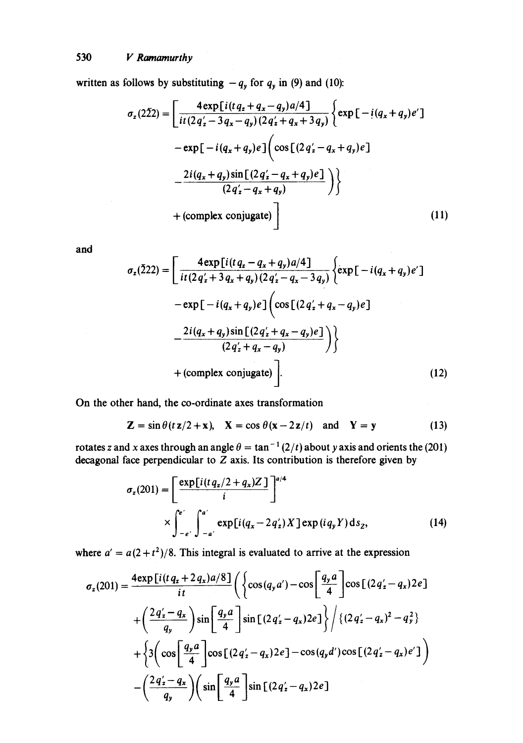written as follows by substituting  $-q_y$  for  $q_y$  in (9) and (10):

$$
\sigma_z(2\bar{2}2) = \left[ \frac{4 \exp[i(tq_z + q_x - q_y)a/4]}{it(2q'_z - 3q_x - q_y)(2q'_z + q_x + 3q_y)} \right\{ \exp[-i(q_x + q_y)e'] - \exp[-i(q_x + q_y)e] \left( \cos[(2q'_z - q_x + q_y)e] \right) - \frac{2i(q_x + q_y)\sin[(2q'_z - q_x + q_y)e]}{(2q'_z - q_x + q_y)} \right) \}
$$
\n
$$
+ \left( \text{complex conjugate} \right) \right]
$$
\n(11)

*and* 

$$
\sigma_z(222) = \left[ \frac{4 \exp[i(tq_x - q_x + q_y)a/4]}{it(2q'_x + 3q_x + q_y)(2q'_z - q_x - 3q_y)} \left\{ \exp[-i(q_x + q_y)e'] - \exp[-i(q_x + q_y)e] \left( \cos[(2q'_x + q_x - q_y)e] \right) \right. \right. \\ \left. - \frac{2i(q_x + q_y)\sin[(2q'_x + q_x - q_y)e]}{(2q'_x + q_x - q_y)} \right) \right\}
$$
\n
$$
+ \text{(complex conjugate)} \left]. \tag{12}
$$

On the other hand, the co-ordinate axes transformation

$$
\mathbf{Z} = \sin \theta (t \mathbf{z}/2 + \mathbf{x}), \quad \mathbf{X} = \cos \theta (\mathbf{x} - 2\mathbf{z}/t) \quad \text{and} \quad \mathbf{Y} = \mathbf{y}
$$
 (13)

rotates z and x axes through an angle  $\theta = \tan^{-1}(2/t)$  about y axis and orients the (201) decagonal face perpendicular to  $Z$  axis. Its contribution is therefore given by

$$
\sigma_z(201) = \left[\frac{\exp[i(tq_z/2 + q_x)Z]}{i}\right]^{a/4}
$$
  
 
$$
\times \int_{-e'}^{e'} \int_{-a'}^{a'} \exp[i(q_x - 2q'_z)X] \exp(iq_y Y) ds_z, \qquad (14)
$$

where  $a' = a(2 + t^2)/8$ . This integral is evaluated to arrive at the expression

$$
\sigma_z(201) = \frac{4 \exp[i(tq_z + 2q_x)a/8]}{it} \left( \left\{ \cos(q_y a') - \cos\left[\frac{q_y a}{4}\right] \cos[(2q'_z - q_x)2e] \right.\right.\left. + \left(\frac{2q'_z - q_x}{q_y}\right) \sin\left[\frac{q_y a}{4}\right] \sin[(2q'_z - q_x)2e] \right\} / \left\{ (2q'_z - q_x)^2 - q_y^2 \right\}\left. + \left\{ 3\left(\cos\left[\frac{q_y a}{4}\right] \cos[(2q'_z - q_x)2e] - \cos(q_y d') \cos[(2q'_z - q_x)e'] \right) \right.\right.\left. - \left(\frac{2q'_z - q_x}{q_y}\right) \left(\sin\left[\frac{q_y a}{4}\right] \sin[(2q'_z - q_x)2e] \right.\right)
$$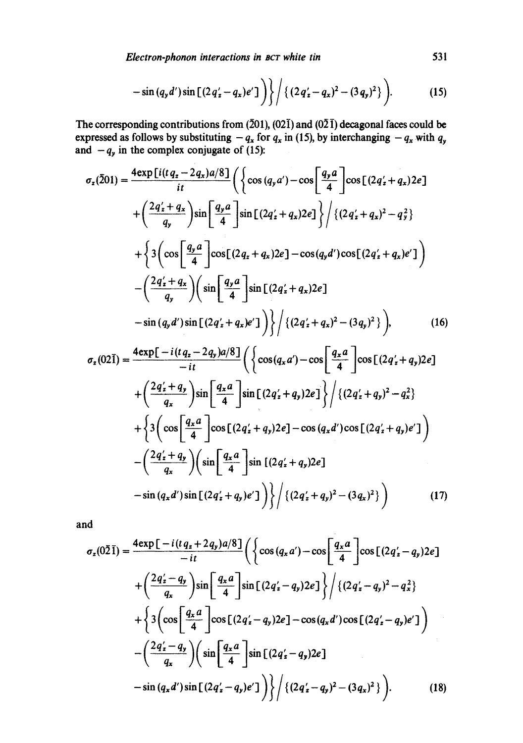*Electron-phonon interactions in Bcr white tin* 531

$$
-\sin{(q_yd')}\sin{\left[(2q'_z-q_x)e'\right]}\bigg)\bigg\}\bigg/\{(2q'_z-q_x)^2-(3q_y)^2\}\bigg).
$$
 (15)

The corresponding contributions from  $(201)$ ,  $(021)$  and  $(021)$  decagonal faces could be expressed as follows by substituting  $-q_x$  for  $q_x$  in (15), by interchanging  $-q_x$  with  $q_y$ and  $-q_y$  in the complex conjugate of (15):

$$
\sigma_{z}(\bar{2}01) = \frac{4 \exp[i(t q_{z} - 2 q_{x})a/8]}{it} \left( \left\{ \cos (q_{y} a') - \cos \left[ \frac{q_{y} a}{4} \right] \cos [(2 q'_{z} + q_{x}) 2 e] + \left( \frac{2 q'_{z} + q_{x}}{q_{y}} \right) \sin \left[ \frac{q_{y} a}{4} \right] \sin [(2 q'_{z} + q_{x}) 2 e] \right\} / \left\{ (2 q'_{z} + q_{x})^{2} - q_{y}^{2} \right\} + \left\{ 3 \left( \cos \left[ \frac{q_{y} a}{4} \right] \cos [(2 q_{z} + q_{x}) 2 e] - \cos (q_{y} d') \cos [(2 q'_{z} + q_{x}) e'] \right) - \left( \frac{2 q'_{z} + q_{x}}{q_{y}} \right) \left( \sin \left[ \frac{q_{y} a}{4} \right] \sin [(2 q'_{z} + q_{x}) 2 e] - \sin (q_{y} d') \sin [(2 q'_{z} + q_{x}) e'] \right) \right\} / \left\{ (2 q'_{z} + q_{x})^{2} - (3 q_{y})^{2} \right\} \right), \qquad (16)
$$

$$
\sigma_z(02\bar{1}) = \frac{4 \exp[-i(tq_z - 2q_y)a/8]}{-it} \left( \left\{ \cos(q_x a') - \cos\left[\frac{q_x a}{4}\right] \cos[(2q'_z + q_y)2e] \right.\right.
$$
  
+  $\left(\frac{2q'_z + q_y}{q_x}\right) \sin\left[\frac{q_x a}{4}\right] \sin[(2q'_z + q_y)2e] \right\} / \left\{ (2q'_z + q_y)^2 - q_x^2 \right\}$   
+  $\left\{ 3 \left( \cos\left[\frac{q_x a}{4}\right] \cos[(2q'_z + q_y)2e] - \cos(q_x d') \cos[(2q'_z + q_y)e'] \right) \right\}$   
-  $\left(\frac{2q'_z + q_y}{q_x}\right) \left( \sin\left[\frac{q_x a}{4}\right] \sin[(2q'_z + q_y)2e] \right]$   
-  $\sin(q_x d') \sin[(2q'_z + q_y)e'] \right) \right\} / \left\{ (2q'_z + q_y)^2 - (3q_x)^2 \right\}$  (17)

*and* 

$$
\sigma_z(0\bar{2}\bar{1}) = \frac{4\exp\left[-i(tq_z + 2q_y)a/8\right]}{-it} \left( \left\{ \cos\left(q_x a'\right) - \cos\left[\frac{q_x a}{4}\right] \cos\left[(2q'_z - q_y)2e\right] \right.\right.\left. + \left(\frac{2q'_z - q_y}{q_x}\right) \sin\left[\frac{q_x a}{4}\right] \sin\left[(2q'_z - q_y)2e\right] \right\} / \left\{ (2q'_z - q_y)^2 - q_x^2 \right\}\left. + \left\{ 3\left(\cos\left[\frac{q_x a}{4}\right] \cos\left[(2q'_z - q_y)2e\right] - \cos(q_x d') \cos\left[(2q'_z - q_y)e'\right] \right) \right.\left. - \left(\frac{2q'_z - q_y}{q_x}\right) \left(\sin\left[\frac{q_x a}{4}\right] \sin\left[(2q'_z - q_y)2e\right] \right.\left. - \sin\left(q_x d'\right) \sin\left[(2q'_z - q_y)e'\right] \right) \right\} / \left\{ (2q'_z - q_y)^2 - (3q_x)^2 \right\} \right). \tag{18}
$$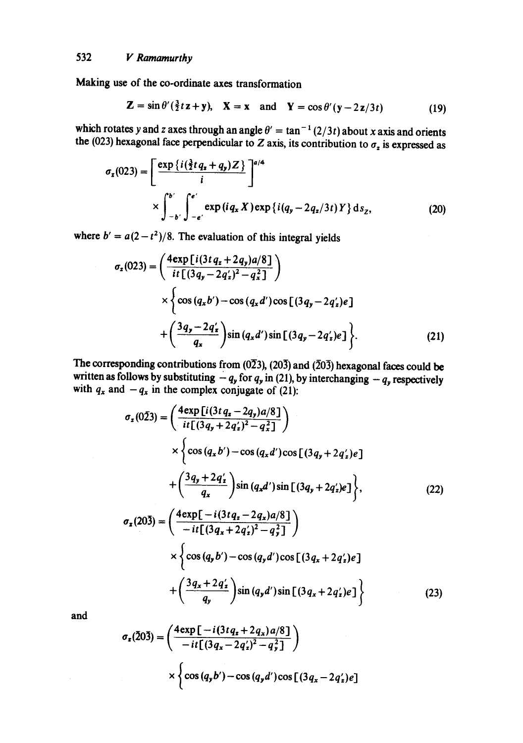Making use of the co-ordinate axes transformation

$$
\mathbf{Z} = \sin \theta' \left( \frac{3}{2} t \mathbf{z} + \mathbf{y} \right), \quad \mathbf{X} = \mathbf{x} \quad \text{and} \quad \mathbf{Y} = \cos \theta' \left( \mathbf{y} - 2 \mathbf{z} / 3t \right) \tag{19}
$$

which rotates y and z axes through an angle  $\theta' = \tan^{-1}(2/3t)$  about x axis and orients the (023) hexagonal face perpendicular to Z axis, its contribution to  $\sigma_z$  is expressed as

$$
\sigma_{z}(023) = \left[\frac{\exp\left\{i(\frac{3}{2}t q_{z} + q_{y})Z\right\}}{i}\right]^{a/4} \times \int_{-b'}^{b'} \int_{-e'}^{e'} \exp\left(i q_{x} X\right) \exp\left\{i(q_{y} - 2 q_{z}/3t) Y\right\} \mathrm{d} s_{z},\tag{20}
$$

where  $b' = a(2-t^2)/8$ . The evaluation of this integral yields

$$
\sigma_z(023) = \left(\frac{4 \exp \left[i(3t q_x + 2q_y)a/8\right]}{it \left[(3q_y - 2q_z')^2 - q_x^2\right]}\right)
$$
  
 
$$
\times \left\{\cos (q_x b') - \cos (q_x d') \cos \left[(3q_y - 2q_z')e\right] + \left(\frac{3q_y - 2q_z'}{q_x}\right) \sin (q_x d') \sin \left[(3q_y - 2q_z')e\right]\right\}.
$$
 (21)

The corresponding contributions from  $(0\overline{2}3)$ ,  $(20\overline{3})$  and  $(\overline{2}0\overline{3})$  hexagonal faces could be written as follows by substituting  $-q_y$  for  $q_y$  in (21), by interchanging  $-q_y$  respectively with  $q_x$  and  $-q_x$  in the complex conjugate of (21):

$$
\sigma_z(0\bar{2}3) = \left(\frac{4 \exp[i(3t q_x - 2q_y)a/8]}{it[(3q_y + 2q'_z)^2 - q_x^2]}\right)
$$
  
\n
$$
\times \left\{\cos(q_x b') - \cos(q_x d')\cos[(3q_y + 2q'_z)e] + \left(\frac{3q_y + 2q'_z}{q_x}\right)\sin(q_x d')\sin[(3q_y + 2q'_z)e]\right\},
$$
\n(22)  
\n
$$
\sigma_z(20\bar{3}) = \left(\frac{4 \exp[-i(3t q_x - 2q_x)a/8]}{-it[(3q_x + 2q'_z)^2 - q_y^2]}\right)
$$
  
\n
$$
\times \left\{\cos(q_y b') - \cos(q_y d')\cos[(3q_x + 2q'_z)e] + \left(\frac{3q_x + 2q'_z}{q_y}\right)\sin(q_y d')\sin[(3q_x + 2q'_z)e]\right\}
$$
\n(23)

**and** 

$$
\sigma_z(203) = \left(\frac{4 \exp \left[-i(3t q_x + 2q_x) a/8\right]}{-it \left[(3q_x - 2q_x')^2 - q_y^2\right]}\right)
$$

$$
\times \left\{\cos (q_y b') - \cos (q_y d') \cos \left[(3q_x - 2q_x')e\right]\right\}
$$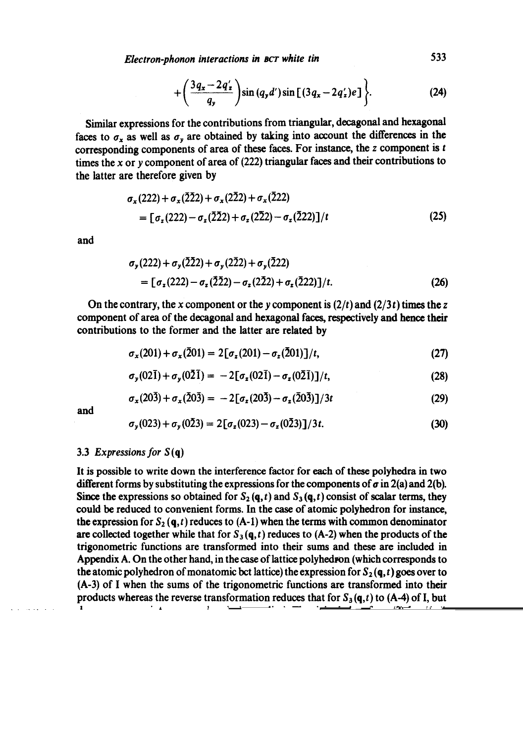*Electron-phonon interactions in act white tin* 533

$$
+\bigg(\frac{3q_{x}-2q_{z}'}{q_{y}}\bigg)\sin\left(q_{y}d'\right)\sin\left[\left(3q_{x}-2q_{z}'\right)e\right]\bigg\}.
$$
 (24)

Similar expressions for the contributions from triangular, decagonal and hexagonal faces to  $\sigma_x$  as well as  $\sigma_y$  are obtained by taking into account the differences in the corresponding components of area of these faces. For instance, the  $z$  component is  $t$ times the x or y component of area of  $(222)$  triangular faces and their contributions to the latter are therefore given by

$$
\sigma_x(222) + \sigma_x(\overline{222}) + \sigma_x(2\overline{22}) + \sigma_x(\overline{222})
$$
  
= 
$$
[\sigma_z(222) - \sigma_z(\overline{222}) + \sigma_z(2\overline{22}) - \sigma_z(\overline{222})]/t
$$
 (25)

and

$$
\sigma_y(222) + \sigma_y(222) + \sigma_y(222) + \sigma_y(222)
$$
  
=  $[\sigma_z(222) - \sigma_z(222) - \sigma_z(222) + \sigma_z(222)]/t.$  (26)

On the contrary, the x component or the y component is  $(2/t)$  and  $(2/3t)$  times the z component of area of the decagonal and hexagonal faces, respectively and hence their contributions to the former and the latter are related by

$$
\sigma_x(201) + \sigma_x(201) = 2[\sigma_x(201) - \sigma_x(201)]/t, \qquad (27)
$$

$$
\sigma_{\mathbf{y}}(02\bar{1}) + \sigma_{\mathbf{y}}(0\bar{2}\bar{1}) = -2[\sigma_{\mathbf{z}}(02\bar{1}) - \sigma_{\mathbf{z}}(0\bar{2}\bar{1})]/t, \qquad (28)
$$

$$
\sigma_x(20\bar{3}) + \sigma_x(\bar{2}0\bar{3}) = -2[\sigma_x(20\bar{3}) - \sigma_x(\bar{2}0\bar{3})]/3t
$$
\n(29)

and

$$
\sigma_{y}(023) + \sigma_{y}(0\bar{2}3) = 2[\sigma_{z}(023) - \sigma_{z}(0\bar{2}3)]/3t.
$$
 (30)

## 3.3 *Expressions for S* (q)

It is possible to write down the interference factor for each of these polyhedra in two different forms by substituting the expressions for the components of  $\sigma$  in 2(a) and 2(b). Since the expressions so obtained for  $S_2(\mathbf{q},t)$  and  $S_3(\mathbf{q},t)$  consist of scalar terms, they could be reduced to convenient forms. In the case of atomic polyhedron for instance, the expression for  $S_2(q, t)$  reduces to  $(A-1)$  when the terms with common denominator are collected together while that for  $S_3(q, t)$  reduces to (A-2) when the products of the trigonometric functions are transformed into their sums and these are included in Appendix A. On the other hand, in the case of lattice polyhedron (which corresponds to the atomic polyhedron of monatomic bct lattice) the expression for  $S_2(\mathbf{q},t)$  goes over to (A-3) of I when the sums of the trigonometric functions are transformed into their products whereas the reverse transformation reduces that for  $S_3(q,t)$  to (A-4) of I, but these two expressions are not given in Appendix A. Thus it is obvious from (2) that (A-l) that (A-l) that (A-l

and (A-2) as well as well as  $\mathcal{A}_1$  and (A-3) are just two of the second alternative (but see several alternative (but see several alternative (but see several alternative (but see several alternative (but see several equivalent) ways of writing down the interference factor. In the factor. In the factor  $\mathbf{r}$ lattice polyhedron and the atomic polyhedron of diatomic white tin share a pair of (004)

since of the latter those of the latter  $\mathcal{S}_{\mathcal{A}}$  intervening basis planes accommodate basis planes accommodate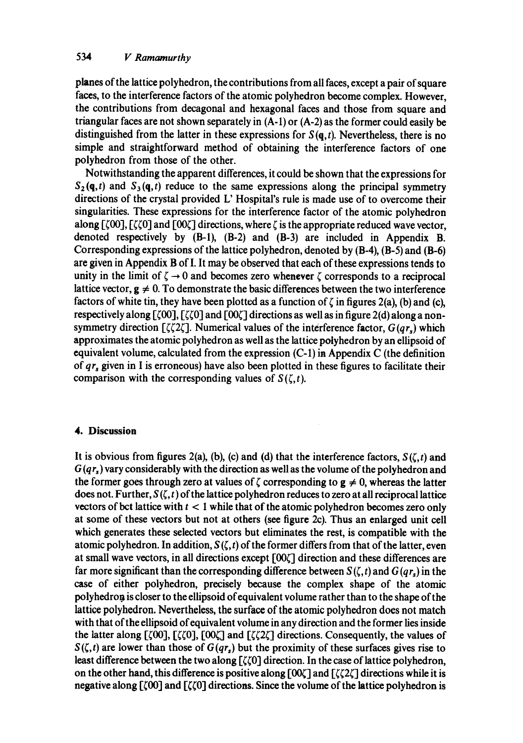planes of the lattice polyhedron, the contributions from all faces, except a pair of square faces, to the interference factors of the atomic polyhedron become complex. However, the contributions from decagonal and hexagonal faces and those from square and triangular faces are not shown separately in (A-1) or (A-2) as the former could easily be distinguished from the latter in these expressions for  $S(\mathbf{q}, t)$ . Nevertheless, there is no simple and straightforward method of obtaining the interference factors of one polyhedron from those of the other.

Notwithstanding the apparent differences, it could be shown that the expressions for  $S_2(q,t)$  and  $S_3(q,t)$  reduce to the same expressions along the principal symmetry directions of the crystal provided L' Hospital's rule is made use of to overcome their singularities. These expressions for the interference factor of the atomic polyhedron along  $\lceil \zeta(00)\rceil$ ,  $\lceil \zeta(0)\rceil$  and  $\lceil 00\zeta \rceil$  directions, where  $\zeta$  is the appropriate reduced wave vector, denoted respectively by (B-l), (B-2) and (B-3) are included in Appendix B. Corresponding expressions of the lattice polyhedron, denoted by (B-4), (B-5) and (B-6) are given in Appendix B of I. It may be observed that each of these expressions tends to unity in the limit of  $\zeta \rightarrow 0$  and becomes zero whenever  $\zeta$  corresponds to a reciprocal lattice vector,  $g \neq 0$ . To demonstrate the basic differences between the two interference factors of white tin, they have been plotted as a function of  $\zeta$  in figures 2(a), (b) and (c), respectively along  $[\zeta 00]$ ,  $[\zeta \zeta 0]$  and  $[00\zeta]$  directions as well as in figure 2(d) along a nonsymmetry direction  $\lceil \zeta \zeta \zeta \zeta \rceil$ . Numerical values of the interference factor,  $G(qr_*)$  which approximates the atomic polyhedron as well as the lattice polyhedron by an ellipsoid of equivalent volume, calculated from the expression (C-l) in Appendix C (the definition of *qr~* given in I is erroneous) have also been plotted in these figures to facilitate their comparison with the corresponding values of  $S(\zeta,t)$ .

## **4. Discussion**

It is obvious from figures 2(a), (b), (c) and (d) that the interference factors,  $S(\zeta,t)$  and  $G(qr_s)$  vary considerably with the direction as well as the volume of the polyhedron and the former goes through zero at values of  $\zeta$  corresponding to  $g \neq 0$ , whereas the latter does not. Further,  $S(\zeta, t)$  of the lattice polyhedron reduces to zero at all reciprocal lattice vectors of bet lattice with  $t < 1$  while that of the atomic polyhedron becomes zero only at some of these vectors but not at others (see figure 2c). Thus an enlarged unit cell which generates these selected vectors but eliminates the rest, is compatible with the atomic polyhedron. In addition,  $S(\zeta, t)$  of the former differs from that of the latter, even at small wave vectors, in all directions except  $[00\zeta]$  direction and these differences are far more significant than the corresponding difference between  $S(\zeta, t)$  and  $G(qr_0)$  in the case of either polyhedron, precisely because the complex shape of the atomic polyhedron is closer to the ellipsoid of equivalent volume rather than to the shape of the lattice polyhedron. Nevertheless, the surface of the atomic polyhedron does not match with that of the ellipsoid of equivalent volume in any direction and the former lies inside the latter along [ $\zeta$ 00], [ $\zeta$ <sub>20</sub>], [00 $\zeta$ ] and [ $\zeta$ <sub>2</sub> $\zeta$ ] directions. Consequently, the values of  $S(\zeta,t)$  are lower than those of  $G(qr_s)$  but the proximity of these surfaces gives rise to least difference between the two along  $[\zeta \zeta 0]$  direction. In the case of lattice polyhedron, on the other hand, this difference is positive along  $[00\zeta]$  and  $[\zeta\zeta 2\zeta]$  directions while it is negative along  $[\zeta]$  and  $[\zeta]$  directions. Since the volume of the lattice polyhedron is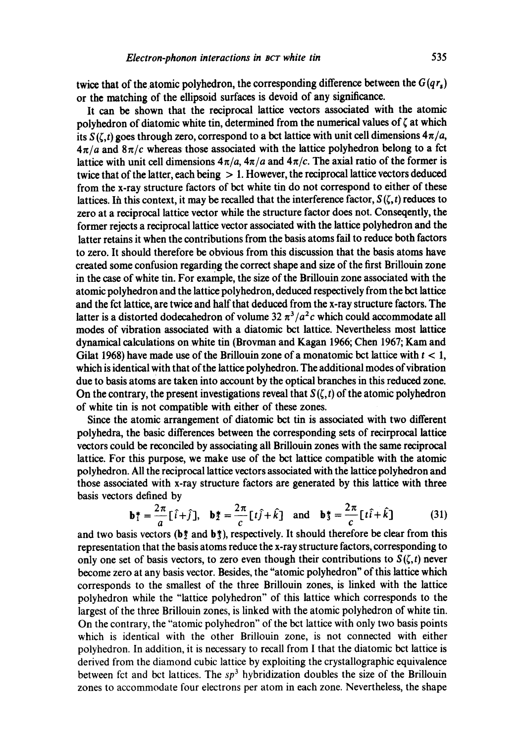twice that of the atomic polyhedron, the corresponding difference between the  $G(qr_s)$ or the matching of the ellipsoid surfaces is devoid of any significance.

It can be shown that the reciprocal lattice vectors associated with the atomic polyhedron of diatomic white tin, determined from the numerical values of  $\zeta$  at which its  $S(\zeta, t)$  goes through zero, correspond to a bct lattice with unit cell dimensions  $4\pi/a$ ,  $4\pi/a$  and  $8\pi/c$  whereas those associated with the lattice polyhedron belong to a fct lattice with unit cell dimensions  $4\pi/a$ ,  $4\pi/a$  and  $4\pi/c$ . The axial ratio of the former is twice that of the latter, each being  $> 1$ . However, the reciprocal lattice vectors deduced from the x-ray structure factors of bct white tin do not correspond to either of these lattices. In this context, it may be recalled that the interference factor,  $S(\zeta, t)$  reduces to zero at a reciprocal lattice vector while the structure factor does not. Conseqently, the former rejects a reciprocal lattice vector associated with the lattice polyhedron and the latter retains it when the contributions from the basis atoms fail to reduce both factors to zero. It should therefore be obvious from this discussion that the basis atoms have created some confusion regarding the correct shape and size of the first Brillouin zone in the case of white tin. For example, the size of the Brillouin zone associated with the atomic polyhedron and the lattice polyhedron, deduced respectively from the bct lattice and the fct lattice, are twice and half that deduced from the x-ray structure factors. The latter is a distorted dodecahedron of volume 32  $\pi^3/a^2c$  which could accommodate all modes of vibration associated with a diatomic bct lattice. Nevertheless most lattice dynamical calculations on white tin (Brovman and Kagan 1966; Chen 1967; Kam and Gilat 1968) have made use of the Brillouin zone of a monatomic bct lattice with  $t < 1$ , which is identical with that of the lattice polyhedron. The additional modes of vibration due to basis atoms are taken into account by the optical branches in this reduced zone. On the contrary, the present investigations reveal that  $S(\zeta, t)$  of the atomic polyhedron of white tin is not compatible with either of these zones.

Since the atomic arrangement of diatomic bct tin is associated with two different polyhedra, the basic differences between the corresponding sets of recirprocal lattice vectors could be reconciled by associating all Brillouin zones with the same reciprocal lattice. For this purpose, we make use of the bet lattice compatible with the atomic polyhedron. All the reciprocal lattice vectors associated with the lattice polyhedron and those associated with x-ray structure factors are generated by this lattice with three basis vectors defined by

$$
\mathbf{b}_{1}^{*} = \frac{2\pi}{a} [\hat{i} + \hat{j}], \quad \mathbf{b}_{2}^{*} = \frac{2\pi}{c} [t\hat{j} + \hat{k}] \quad \text{and} \quad \mathbf{b}_{3}^{*} = \frac{2\pi}{c} [t\hat{i} + \hat{k}] \tag{31}
$$

and two basis vectors ( $b\ddagger$  and  $b\ddagger$ ), respectively. It should therefore be clear from this representation that the basis atoms reduce the x-ray structure factors, corresponding to only one set of basis vectors, to zero even though their contributions to  $S(\zeta, t)$  never become zero at any basis vector. Besides, the "atomic polyhedron" of this lattice which corresponds to the smallest of the three Brillouin zones, is linked with the lattice polyhedron while the "lattice polyhedron" of this lattice which corresponds to the largest of the three Brillouin zones, is linked with the atomic polyhedron of white tin. On the contrary, the "atomic polyhedron" of the bct lattice with only two basis points which is identical with the other Brillouin zone, is not connected with either polyhedron. In addition, it is necessary to recall from I that the diatomic bct lattice is derived from the diamond cubic lattice by exploiting the crystallographic equivalence between fct and bct lattices. The *sp*<sup>3</sup> hybridization doubles the size of the Brillouin zones to accommodate four electrons per atom in each zone. Nevertheless, the shape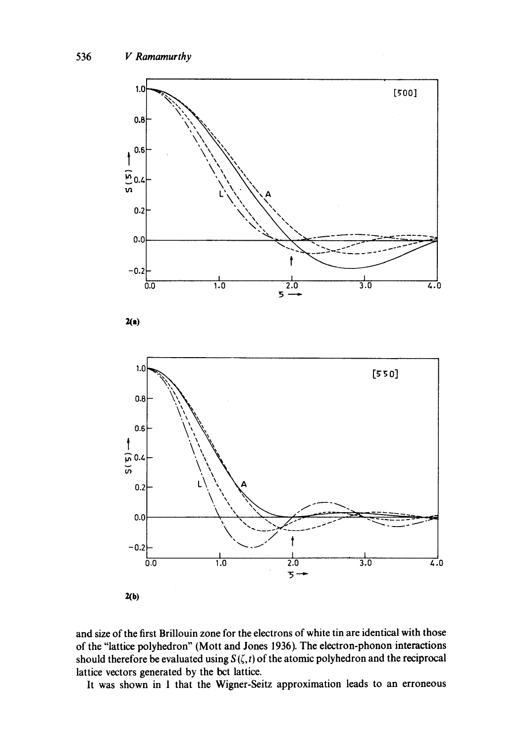

and size of the first BriUouin zone for the electrons of white tin are identical with those of the "lattice polyhedron" (Mott and Jones 1936). The electron-phonon interactions should therefore be evaluated using  $S(\zeta, t)$  of the atomic polyhedron and the reciprocal lattice vectors generated by the bct lattice.

It was shown in 1 that the Wigner-Seitz approximation leads to an erroneous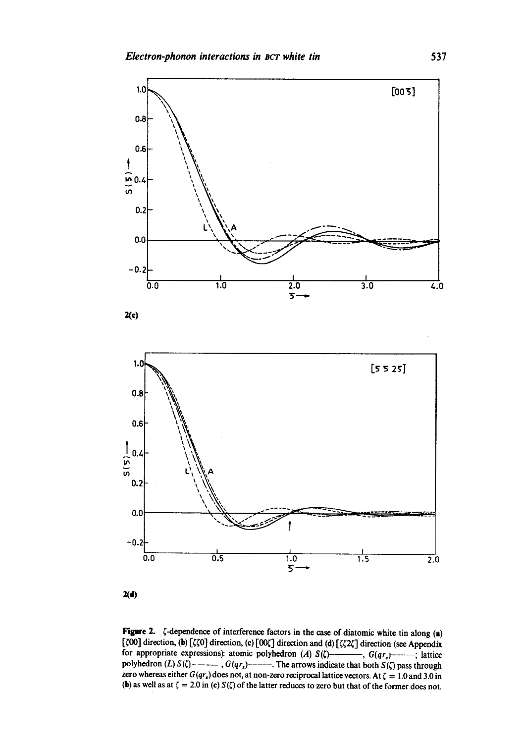

 $2(d)$ 

Figure 2.  $\zeta$ -dependence of interference factors in the case of diatomic white tin along (a) [ $\zeta$ 00] direction, (b) [ $\zeta$  $\zeta$ 0] direction, (c) [00 $\zeta$ ] direction and (d) [ $\zeta$  $\zeta$ 2 $\zeta$ ] direction (see Appendix for appropriate expressions): atomic polyhedron (A)  $S(\zeta)$ ----, *G(qr<sub>s</sub>*)------; lattice polyhedron (L)  $S(\zeta)$  -----,  $G(qr_s)$ -----. The arrows indicate that both  $S(\zeta)$  pass through zero whereas either  $G(qr_s)$  does not, at non-zero reciprocal lattice vectors. At  $\zeta = 1.0$  and 3.0 in (b) as well as at  $\zeta = 2.0$  in (c)  $S(\zeta)$  of the latter reduces to zero but that of the former does not.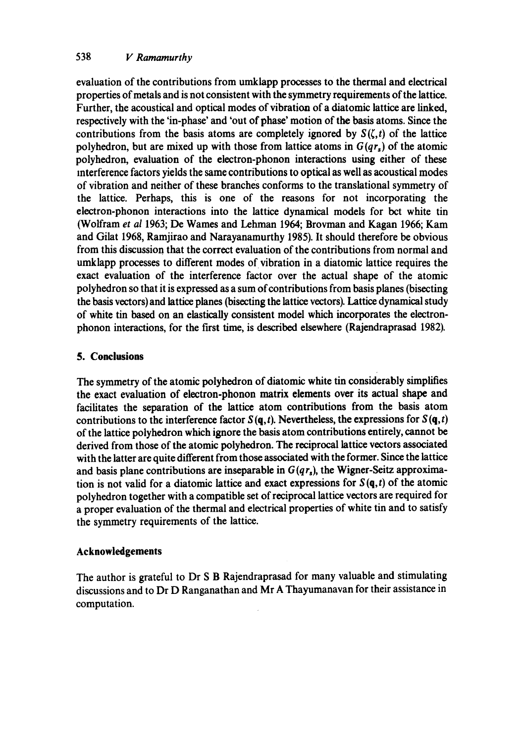evaluation of the contributions from umklapp processes to the thermal and electrical properties of metals and is not consistent with the symmetry requirements of the lattice. Further, the acoustical and optical modes of vibration of a diatomic lattice are linked, respectively with the 'in-phase' and 'out of phase' motion of the basis atoms. Since the contributions from the basis atoms are completely ignored by  $S(\zeta,t)$  of the lattice polyhedron, but are mixed up with those from lattice atoms in  $G(qr_s)$  of the atomic polyhedron, evaluation of the electron-phonon interactions using either of these mterference factors yields the same contributions to optical as well as acoustical modes of vibration and neither of these branches conforms to the translational symmetry of the lattice. Perhaps, this is one of the reasons for not incorporating the electron-phonon interactions into the lattice dynamical models for bct white tin (Wolfram *et al* 1963; De Wames and Lehman 1964; Brovman and Kagan 1966; Kam and Gilat 1968, Ramjirao and Narayanamurthy 1985). It should therefore be obvious from this discussion that the correct evaluation of the contributions from normal and urnklapp processes to different modes of vibration in a diatomic lattice requires the exact evaluation of the interference factor over the actual shape of the atomic polyhedron so that it is expressed as a sum of contributions from basis planes (bisecting the basis vectors) and lattice planes (bisecting the lattice vectors). Lattice dynamical study of white tin based on an elastically consistent model which incorporates the electronphonon interactions, for the first time, is described elsewhere (Rajendraprasad 1982).

# **5. Conclusions**

The symmetry of the atomic polyhedron of diatomic white tin considerably simplifies the exact evaluation of electron-phonon matrix elements over its actual shape and facilitates the separation of the lattice atom contributions from the basis atom contributions to the interference factor  $S(q,t)$ . Nevertheless, the expressions for  $S(q,t)$ of the lattice polyhedron which ignore the basis atom contributions entirely, cannot be derived from those of the atomic polyhedron. The reciprocal lattice vectors associated with the latter are quite different from those associated with the former. Since the lattice and basis plane contributions are inseparable in  $G(qr<sub>s</sub>)$ , the Wigner-Seitz approximation is not valid for a diatomic lattice and exact expressions for  $S(\mathbf{q},t)$  of the atomic polyhedron together with a compatible set of reciprocal lattice vectors are required for a proper evaluation of the thermal and electrical properties of white tin and to satisfy the symmetry requirements of the lattice.

# **Acknowledgements**

The author is grateful to Dr S B Rajendraprasad for many valuable and stimulating discussions and to Dr D Ranganathan and Mr A Thayumanavan for their assistance in computation.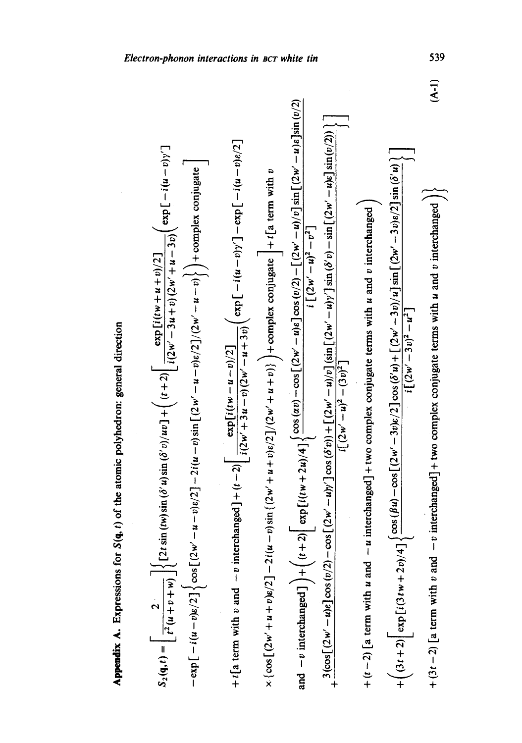Appendix A. Expressions for S(q, t) of the atomic polyhedron: general direction Appendix A. Expressions for S(q, t) of the atomic polyhedron: general direction

$$
S_{2}(\mathfrak{q},t) = \left[\frac{2}{t^{2}(u+v+w)}\right] \left\{ (2t \sin{(w)} \sin{(\delta' u)} \sin{(\delta' v)} /uv) + \left((t+2)\left[\frac{\exp{i((w+u+v)/2]}{i(2w'-3u+v)(2w'+u-3)v}}\right] \exp\left[-i(u-v)y'\right] - \exp\left[-i(u-v)y'\right] \right] \right\}
$$
  
\n
$$
+ t[a \text{ term with } v \text{ and } -v \text{ interchanged}] + (t-2)[\frac{\exp{i((w-u-v)/2]}{i(2w'+3u-v)(2w'-u-v)}}\right\} + \text{complex conjugate} \left] + t[a \text{ term with } v
$$
  
\n
$$
\times \left\{ \cos\left[(2w'+u+v)/2\right] - 2i(u-v) \sin\left[(2w'+u+v)/2\right] / (2w'+u+v)} \right\} + \text{complex conjugate} \left] + t[a \text{ term with } v
$$
  
\n
$$
+ \left\{ \cos\left[(2w'-u)/2\right] - 2i(u-v) \sin\left[(2w'+u+v)/2\right] / (2w'-u+v)} \right\} + \text{complex conjugate} \left\{ \frac{-i(u-v)y' - \exp\left[-i(u-v)/2\right]}{i\left[(2w'-u)/2\right] \sin\left[(2w'-u)/2\right] \sin\left[(2w'-u)/2\right] \sin\left[(2w'-u)/2\right] \right\}}
$$
  
\n
$$
+ (t-2)[a \text{ term with } u \text{ and } -u \text{ interchanged} + \text{two complex conjugate terms with } u \text{ and } v \text{ interchanged} \right)
$$
  
\n
$$
+ (3t+2)[\exp\left[(3tw'+2v)/4\right] \left\{ \cos(\beta u) - \cos\left[(2w'-u)/2\right] \cos(\beta' u) + \left[(2w'-3v)/2\right] \sin(\beta' u) - \sin\left[(2w'-3v)/2\right] \sin(\beta' u) - \sin\left[(2w'-2v)/2\right] \sin(\beta' u) \right\}
$$
  
\n
$$
+ (3t+2)[\exp\left[(3tw'+2v)/4\right] \left\{ \cos(\beta u) - \cos\left[(2w'-u)/2\right] \cos(\beta' u) + \left[(2w'-3v)/2\right] \sin
$$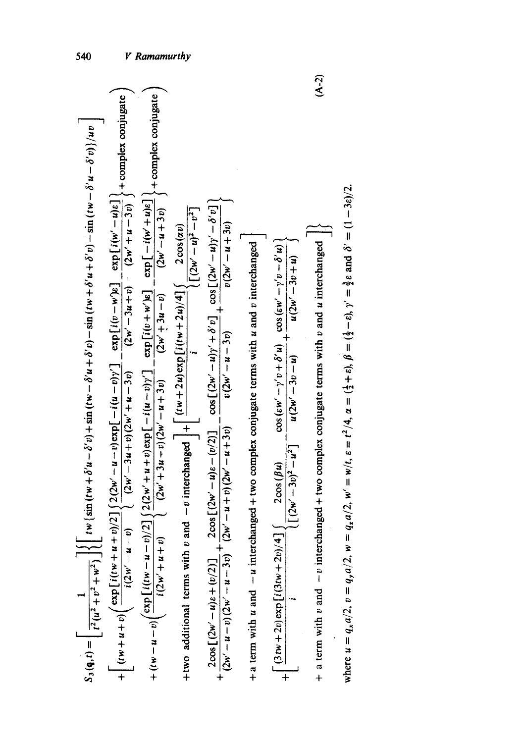| $S_3(\mathbf{q},t) = \left[ \frac{1}{t^2(u^2 + v^2 + w^2)} \right] \left\{ \left[ t w \left( \sin (t w + \delta' u - \delta' v) + \sin (t w - \delta' u + \delta' v) - \sin (t w + \delta' u + \delta' v) - \sin (t w - \delta' u - \delta' v) \right] / uv \right\}$                                              | 540        |
|--------------------------------------------------------------------------------------------------------------------------------------------------------------------------------------------------------------------------------------------------------------------------------------------------------------------|------------|
| + complex conjugate<br>$(2w' - 3u + v)$ $(2w' + u - 3v)$<br>+ $\left[ (tw + u + v)(\frac{\exp[i(tw + u + v)/2]}{i(2w' - u - v)} \right] \frac{2(2w' - u - v)\exp[-i(u - v)y']} {(2w' - u)(2w' - u - v)} - \frac{\exp[i(v - w)(e - u)v]}{(2w' - u - v)} \frac{-\exp[i(w' - u - v)(e - u)v]}{(2w' - u - v)} \right]$ |            |
| + complex conjugate<br>+ $(tw - u - v)(\frac{\exp[i(tw - u - v)/2]}{i(2w' + u + v)} \left\{ \frac{2(2w' + u + v)\exp[-i(u - v)y']}{(2w' + 3u - v)} - \frac{\exp[i(v + w')\varepsilon]}{(2w' + 3u - v)} - \frac{\exp[-i(w' + u)\varepsilon]}{(2w' + 3u - v)}\right\}$<br>$(2w' + 3u - v)$                           | Ramamurthy |
| $[(2w'-u)^2-v^2]$<br>+two additional terms with v and $-v$ interchanged $\left  + \right  \frac{(iw+2u)\exp[i(iw+2u)/4]}{sin(2u)/4}$ (2 cos( <i>av</i> )                                                                                                                                                           |            |
| $\frac{2\cos[(2w'-u)\varepsilon+(v/2)]}{(2w'-u-3v)}+\frac{2\cos[(2w'-u)\varepsilon-(v/2)]}{(2w'-u+3v)}-\frac{\cos[(2w'-u)\gamma'+\delta'v]}{v(2w'-u-3v)}+\frac{\cos[(2w'-u)\gamma'-\delta'v]}{v(2w'-u+4v)}$                                                                                                        |            |
| two complex conjugate terms with u and v interchanged<br>+ a term with $u$ and $-u$ interchanged +                                                                                                                                                                                                                 |            |
| $\frac{\cos{(\epsilon w' - \gamma' v + \delta' u)}}{-\cos{(\epsilon w' - \gamma' v - \delta' u)}}$<br>$u(2w' - 3v + u)$<br>$u(2w' - 3v - u)$<br>$[(2w'-3v)^2-u^2]$<br>$\left[ \frac{(3+w+2v)\exp[i(3tw+2v)/4]}{2\cos(\beta u)} \right]$<br>$+$                                                                     |            |
| $+$ a term with $v$ and $-v$ interchanged + two complex conjugate terms with $v$ and $u$ interchanged                                                                                                                                                                                                              | $(A-2)$    |
| where $u = q_x a/2$ , $v = q_y a/2$ , $w = q_z a/2$ , $w' = w/t$ , $\varepsilon = t^2/4$ , $\alpha = (\frac{1}{2} + \varepsilon)$ , $\beta = (\frac{1}{2} - \varepsilon)$ , $\gamma' = \frac{3}{2}\varepsilon$ and $\delta' = (1 - 3\varepsilon)/2$ .                                                              |            |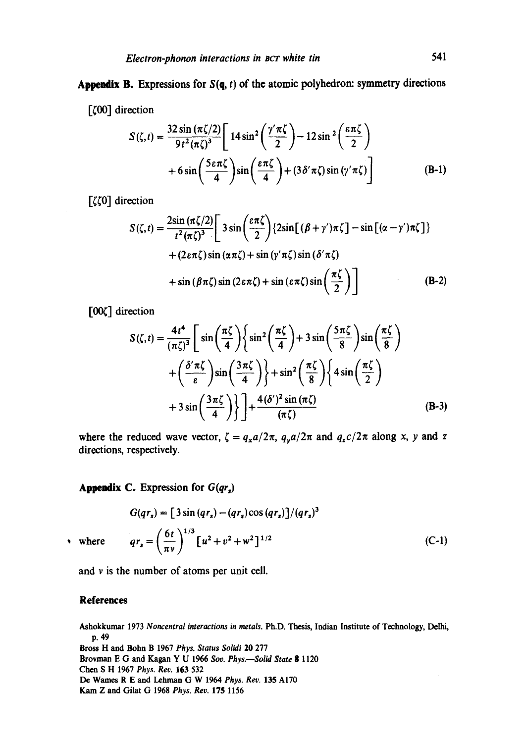# Appendix B. Expressions for  $S(q, t)$  of the atomic polyhedron: symmetry directions

 $[\zeta 00]$  direction

$$
S(\zeta, t) = \frac{32 \sin(\pi \zeta/2)}{9t^2 (\pi \zeta)^3} \left[ 14 \sin^2\left(\frac{\gamma' \pi \zeta}{2}\right) - 12 \sin^2\left(\frac{\varepsilon \pi \zeta}{2}\right) + 6 \sin\left(\frac{5 \varepsilon \pi \zeta}{4}\right) \sin\left(\frac{\varepsilon \pi \zeta}{4}\right) + (3 \delta' \pi \zeta) \sin(\gamma' \pi \zeta) \right]
$$
(B-1)

 $[\zeta\zeta0]$  direction

$$
S(\zeta, t) = \frac{2\sin(\pi\zeta/2)}{t^2(\pi\zeta)^3} \left[ 3\sin\left(\frac{\varepsilon\pi\zeta}{2}\right) \{2\sin[(\beta + \gamma')\pi\zeta] - \sin[(\alpha - \gamma')\pi\zeta] \} + (2\varepsilon\pi\zeta)\sin(\alpha\pi\zeta) + \sin(\gamma'\pi\zeta)\sin(\delta'\pi\zeta) + \sin(\beta\pi\zeta)\sin(2\varepsilon\pi\zeta) + \sin(\varepsilon\pi\zeta)\sin\left(\frac{\pi\zeta}{2}\right) \right]
$$
(B-2)

 $[00\zeta]$  direction

$$
S(\zeta, t) = \frac{4t^4}{(\pi \zeta)^3} \left[ \sin\left(\frac{\pi \zeta}{4}\right) \left\{ \sin^2\left(\frac{\pi \zeta}{4}\right) + 3\sin\left(\frac{5\pi \zeta}{8}\right) \sin\left(\frac{\pi \zeta}{8}\right) \right. \right.+\left(\frac{\delta' \pi \zeta}{\varepsilon}\right) \sin\left(\frac{3\pi \zeta}{4}\right) \left\} + \sin^2\left(\frac{\pi \zeta}{8}\right) \left\{ 4\sin\left(\frac{\pi \zeta}{2}\right) \right.+ 3\sin\left(\frac{3\pi \zeta}{4}\right) \left\} \right] + \frac{4(\delta')^2 \sin(\pi \zeta)}{(\pi \zeta)} \tag{B-3}
$$

where the reduced wave vector,  $\zeta = q_x a/2\pi$ ,  $q_y a/2\pi$  and  $q_z c/2\pi$  along x, y and z directions, respectively.

# Appendix C. Expression for *G(qr,)*

$$
G(qr_s) = [3 \sin (qr_s) - (qr_s) \cos (qr_s)]/(qr_s)^3
$$
  
\n
$$
qr_s = \left(\frac{6t}{\pi v}\right)^{1/3} [u^2 + v^2 + w^2]^{1/2}
$$
\n(C-1)

 $\cdot$  where

and v is the number of atoms per unit cell.

### **References**

Ashokkumax 1973 *Noncentral interactions in metals.* Ph.D. Thesis, Indian Institute of Technology, Delhi, p. 49 Bross H and Bohn B 1967 *Phys. Status Solidi* 20 277 Brovman E (3 and Kagan Y U 1966 *Soy. Phys.--Solid State* g 1120 Chen S H 1967 *Phys. Rev.* 163 532

De Wames R E and Lehman G W 1964 *Phys. Rev.* 135 Al70

Kam Z and Gilat G 1968 *Phys. Rev.* 175 1156